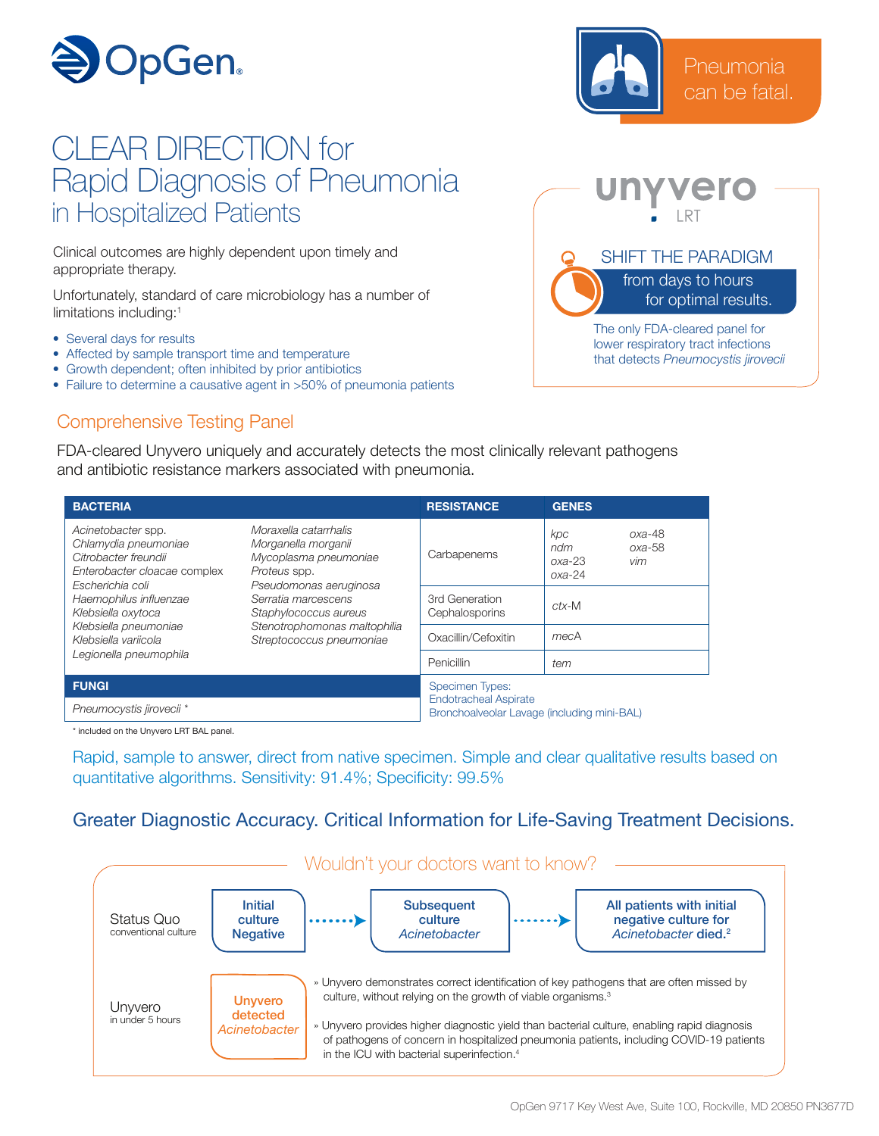

## CLEAR DIRECTION for Rapid Diagnosis of Pneumonia in Hospitalized Patients

Clinical outcomes are highly dependent upon timely and appropriate therapy.

Unfortunately, standard of care microbiology has a number of limitations including:1

- Several days for results
- Affected by sample transport time and temperature
- Growth dependent; often inhibited by prior antibiotics
- Failure to determine a causative agent in >50% of pneumonia patients

## Comprehensive Testing Panel

FDA-cleared Unyvero uniquely and accurately detects the most clinically relevant pathogens and antibiotic resistance markers associated with pneumonia.

| <b>BACTERIA</b>                                                                                                        |                                                                                                                                                                                                                             | <b>RESISTANCE</b>                                                                                     | <b>GENES</b>                                                      |
|------------------------------------------------------------------------------------------------------------------------|-----------------------------------------------------------------------------------------------------------------------------------------------------------------------------------------------------------------------------|-------------------------------------------------------------------------------------------------------|-------------------------------------------------------------------|
| Acinetobacter spp.<br>Chlamydia pneumoniae<br>Citrobacter freundii<br>Enterobacter cloacae complex<br>Escherichia coli | Moraxella catarrhalis<br>Morganella morganii<br>Mycoplasma pneumoniae<br>Proteus spp.<br>Pseudomonas aeruginosa<br>Serratia marcescens<br>Staphylococcus aureus<br>Stenotrophomonas maltophilia<br>Streptococcus pneumoniae | Carbapenems                                                                                           | $oxa-48$<br>kpc<br>$oxa-58$<br>ndm<br>vim<br>$oxa-23$<br>$oxa-24$ |
| Haemophilus influenzae<br>Klebsiella oxytoca<br>Klebsiella pneumoniae<br>Klebsiella variicola                          |                                                                                                                                                                                                                             | 3rd Generation<br>Cephalosporins                                                                      | $ctx$ -M                                                          |
|                                                                                                                        |                                                                                                                                                                                                                             | Oxacillin/Cefoxitin                                                                                   | mecA                                                              |
| Legionella pneumophila                                                                                                 |                                                                                                                                                                                                                             | Penicillin                                                                                            | tem                                                               |
| <b>FUNGI</b>                                                                                                           |                                                                                                                                                                                                                             | <b>Specimen Types:</b><br><b>Endotracheal Aspirate</b><br>Bronchoalveolar Lavage (including mini-BAL) |                                                                   |
| Pneumocystis jirovecii *                                                                                               |                                                                                                                                                                                                                             |                                                                                                       |                                                                   |

\* included on the Unyvero LRT BAL panel.

Rapid, sample to answer, direct from native specimen. Simple and clear qualitative results based on quantitative algorithms. Sensitivity: 91.4%; Specificity: 99.5%

## Greater Diagnostic Accuracy. Critical Information for Life-Saving Treatment Decisions.





Pneumonia